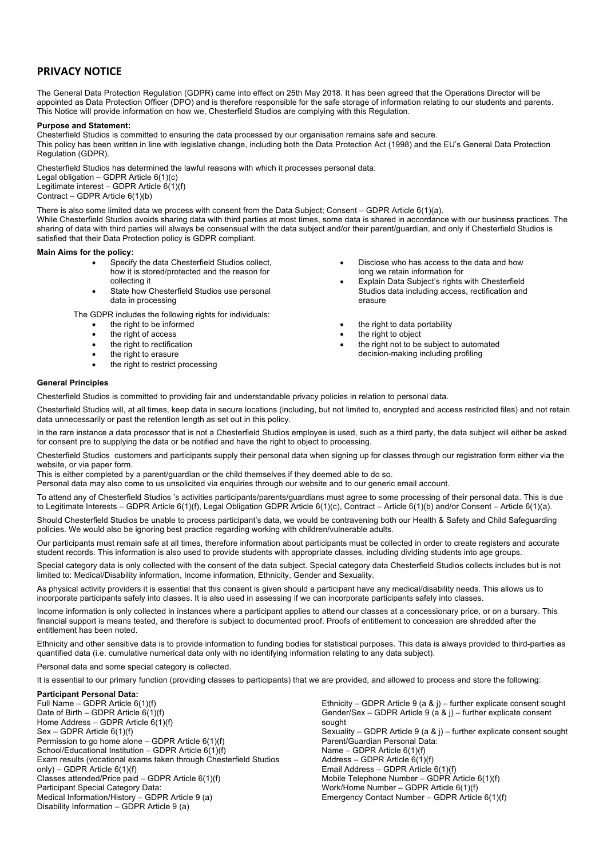# **PRIVACY NOTICE**

The General Data Protection Regulation (GDPR) came into effect on 25th May 2018. It has been agreed that the Operations Director will be appointed as Data Protection Officer (DPO) and is therefore responsible for the safe storage of information relating to our students and parents. This Notice will provide information on how we, Chesterfield Studios are complying with this Regulation.

#### **Purpose and Statement:**

Chesterfield Studios is committed to ensuring the data processed by our organisation remains safe and secure. This policy has been written in line with legislative change, including both the Data Protection Act (1998) and the EU's General Data Protection Regulation (GDPR).

Chesterfield Studios has determined the lawful reasons with which it processes personal data: Legal obligation – GDPR Article 6(1)(c) Legitimate interest – GDPR Article 6(1)(f) Contract – GDPR Article 6(1)(b)

There is also some limited data we process with consent from the Data Subject; Consent – GDPR Article 6(1)(a). While Chesterfield Studios avoids sharing data with third parties at most times, some data is shared in accordance with our business practices. The sharing of data with third parties will always be consensual with the data subject and/or their parent/guardian, and only if Chesterfield Studios is satisfied that their Data Protection policy is GDPR compliant.

#### **Main Aims for the policy:**

- Specify the data Chesterfield Studios collect, how it is stored/protected and the reason for collecting it
- State how Chesterfield Studios use personal data in processing

The GDPR includes the following rights for individuals:

- the right to be informed
- the right of access
- the right to rectification
- the right to erasure
- the right to restrict processing
- Disclose who has access to the data and how long we retain information for
- Explain Data Subject's rights with Chesterfield Studios data including access, rectification and erasure
- the right to data portability
- the right to object
- the right not to be subject to automated decision-making including profiling

# **General Principles**

Chesterfield Studios is committed to providing fair and understandable privacy policies in relation to personal data.

Chesterfield Studios will, at all times, keep data in secure locations (including, but not limited to, encrypted and access restricted files) and not retain data unnecessarily or past the retention length as set out in this policy.

In the rare instance a data processor that is not a Chesterfield Studios employee is used, such as a third party, the data subject will either be asked for consent pre to supplying the data or be notified and have the right to object to processing.

Chesterfield Studios customers and participants supply their personal data when signing up for classes through our registration form either via the website, or via paper form.

This is either completed by a parent/guardian or the child themselves if they deemed able to do so.

Personal data may also come to us unsolicited via enquiries through our website and to our generic email account.

To attend any of Chesterfield Studios 's activities participants/parents/guardians must agree to some processing of their personal data. This is due to Legitimate Interests – GDPR Article 6(1)(f), Legal Obligation GDPR Article 6(1)(c), Contract – Article 6(1)(b) and/or Consent – Article 6(1)(a).

Should Chesterfield Studios be unable to process participant's data, we would be contravening both our Health & Safety and Child Safeguarding policies. We would also be ignoring best practice regarding working with children/vulnerable adults.

Our participants must remain safe at all times, therefore information about participants must be collected in order to create registers and accurate student records. This information is also used to provide students with appropriate classes, including dividing students into age groups.

Special category data is only collected with the consent of the data subject. Special category data Chesterfield Studios collects includes but is not limited to: Medical/Disability information, Income information, Ethnicity, Gender and Sexuality.

As physical activity providers it is essential that this consent is given should a participant have any medical/disability needs. This allows us to incorporate participants safely into classes. It is also used in assessing if we can incorporate participants safely into classes.

Income information is only collected in instances where a participant applies to attend our classes at a concessionary price, or on a bursary. This financial support is means tested, and therefore is subject to documented proof. Proofs of entitlement to concession are shredded after the entitlement has been noted.

Ethnicity and other sensitive data is to provide information to funding bodies for statistical purposes. This data is always provided to third-parties as quantified data (i.e. cumulative numerical data only with no identifying information relating to any data subject).

Personal data and some special category is collected.

It is essential to our primary function (providing classes to participants) that we are provided, and allowed to process and store the following:

# **Participant Personal Data:**

Full Name – GDPR Article 6(1)(f) Date of Birth – GDPR Article  $6(1)(f)$ Home Address – GDPR Article  $6(1)(f)$ Sex – GDPR Article 6(1)(f) Permission to go home alone – GDPR Article  $6(1)(f)$ School/Educational Institution – GDPR Article 6(1)(f) Exam results (vocational exams taken through Chesterfield Studios only) – GDPR Article 6(1)(f) Classes attended/Price paid – GDPR Article 6(1)(f) Participant Special Category Data: Medical Information/History – GDPR Article 9 (a) Disability Information – GDPR Article 9 (a)

Ethnicity – GDPR Article 9 (a & j) – further explicate consent sought Gender/Sex – GDPR Article 9 (a & j) – further explicate consent sought Sexuality – GDPR Article 9 (a & j) – further explicate consent sought Parent/Guardian Personal Data: Name – GDPR Article 6(1)(f) Address – GDPR Article  $6(1)(f)$ Email Address – GDPR Article 6(1)(f) Mobile Telephone Number – GDPR Article  $6(1)(f)$ Work/Home Number – GDPR Article 6(1)(f) Emergency Contact Number – GDPR Article 6(1)(f)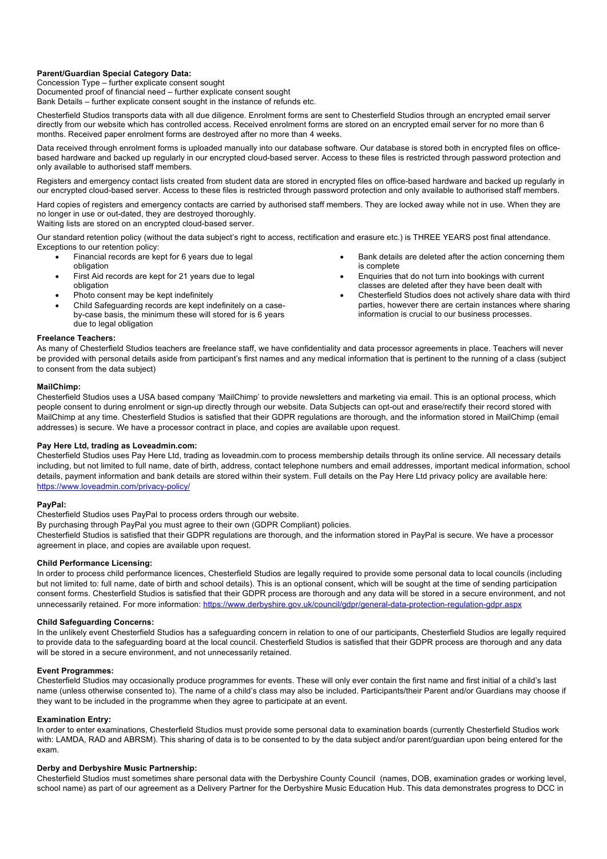# **Parent/Guardian Special Category Data:**

Concession Type – further explicate consent sought Documented proof of financial need – further explicate consent sought Bank Details – further explicate consent sought in the instance of refunds etc.

Chesterfield Studios transports data with all due diligence. Enrolment forms are sent to Chesterfield Studios through an encrypted email server directly from our website which has controlled access. Received enrolment forms are stored on an encrypted email server for no more than 6 months. Received paper enrolment forms are destroyed after no more than 4 weeks.

Data received through enrolment forms is uploaded manually into our database software. Our database is stored both in encrypted files on officebased hardware and backed up regularly in our encrypted cloud-based server. Access to these files is restricted through password protection and only available to authorised staff members.

Registers and emergency contact lists created from student data are stored in encrypted files on office-based hardware and backed up regularly in our encrypted cloud-based server. Access to these files is restricted through password protection and only available to authorised staff members.

Hard copies of registers and emergency contacts are carried by authorised staff members. They are locked away while not in use. When they are no longer in use or out-dated, they are destroyed thoroughly.

Waiting lists are stored on an encrypted cloud-based server.

Our standard retention policy (without the data subject's right to access, rectification and erasure etc.) is THREE YEARS post final attendance. Exceptions to our retention policy:

- Financial records are kept for 6 years due to legal obligation
- First Aid records are kept for 21 years due to legal obligation
- Photo consent may be kept indefinitely
- Child Safeguarding records are kept indefinitely on a caseby-case basis, the minimum these will stored for is 6 years due to legal obligation
- Bank details are deleted after the action concerning them is complete
- Enquiries that do not turn into bookings with current classes are deleted after they have been dealt with
- Chesterfield Studios does not actively share data with third parties, however there are certain instances where sharing information is crucial to our business processes.

# **Freelance Teachers:**

As many of Chesterfield Studios teachers are freelance staff, we have confidentiality and data processor agreements in place. Teachers will never be provided with personal details aside from participant's first names and any medical information that is pertinent to the running of a class (subject to consent from the data subject)

# **MailChimp:**

Chesterfield Studios uses a USA based company 'MailChimp' to provide newsletters and marketing via email. This is an optional process, which people consent to during enrolment or sign-up directly through our website. Data Subjects can opt-out and erase/rectify their record stored with MailChimp at any time. Chesterfield Studios is satisfied that their GDPR regulations are thorough, and the information stored in MailChimp (email addresses) is secure. We have a processor contract in place, and copies are available upon request.

# **Pay Here Ltd, trading as Loveadmin.com:**

Chesterfield Studios uses Pay Here Ltd, trading as loveadmin.com to process membership details through its online service. All necessary details including, but not limited to full name, date of birth, address, contact telephone numbers and email addresses, important medical information, school details, payment information and bank details are stored within their system. Full details on the Pay Here Ltd privacy policy are available here: https://www.loveadmin.com/privacy-policy/

# **PayPal:**

Chesterfield Studios uses PayPal to process orders through our website.

By purchasing through PayPal you must agree to their own (GDPR Compliant) policies.

Chesterfield Studios is satisfied that their GDPR regulations are thorough, and the information stored in PayPal is secure. We have a processor agreement in place, and copies are available upon request.

# **Child Performance Licensing:**

In order to process child performance licences, Chesterfield Studios are legally required to provide some personal data to local councils (including but not limited to: full name, date of birth and school details). This is an optional consent, which will be sought at the time of sending participation consent forms. Chesterfield Studios is satisfied that their GDPR process are thorough and any data will be stored in a secure environment, and not unnecessarily retained. For more information: https://www.derbyshire.gov.uk/council/gdpr/general-data-protection-regulation-gdpr.aspx

# **Child Safeguarding Concerns:**

In the unlikely event Chesterfield Studios has a safeguarding concern in relation to one of our participants, Chesterfield Studios are legally required to provide data to the safeguarding board at the local council. Chesterfield Studios is satisfied that their GDPR process are thorough and any data will be stored in a secure environment, and not unnecessarily retained.

# **Event Programmes:**

Chesterfield Studios may occasionally produce programmes for events. These will only ever contain the first name and first initial of a child's last name (unless otherwise consented to). The name of a child's class may also be included. Participants/their Parent and/or Guardians may choose if they want to be included in the programme when they agree to participate at an event.

# **Examination Entry:**

In order to enter examinations, Chesterfield Studios must provide some personal data to examination boards (currently Chesterfield Studios work with: LAMDA, RAD and ABRSM). This sharing of data is to be consented to by the data subject and/or parent/guardian upon being entered for the exam.

# **Derby and Derbyshire Music Partnership:**

Chesterfield Studios must sometimes share personal data with the Derbyshire County Council (names, DOB, examination grades or working level, school name) as part of our agreement as a Delivery Partner for the Derbyshire Music Education Hub. This data demonstrates progress to DCC in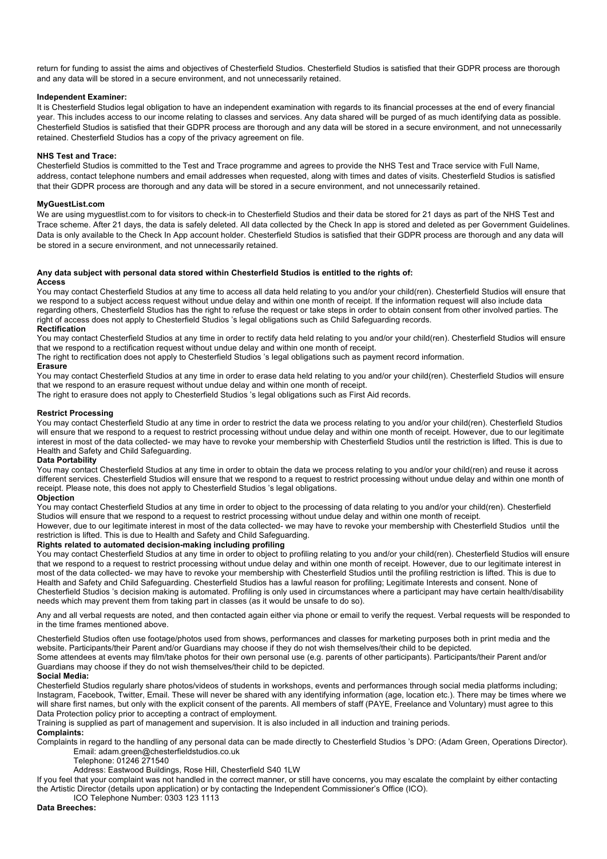return for funding to assist the aims and objectives of Chesterfield Studios. Chesterfield Studios is satisfied that their GDPR process are thorough and any data will be stored in a secure environment, and not unnecessarily retained.

# **Independent Examiner:**

It is Chesterfield Studios legal obligation to have an independent examination with regards to its financial processes at the end of every financial year. This includes access to our income relating to classes and services. Any data shared will be purged of as much identifying data as possible. Chesterfield Studios is satisfied that their GDPR process are thorough and any data will be stored in a secure environment, and not unnecessarily retained. Chesterfield Studios has a copy of the privacy agreement on file.

# **NHS Test and Trace:**

Chesterfield Studios is committed to the Test and Trace programme and agrees to provide the NHS Test and Trace service with Full Name, address, contact telephone numbers and email addresses when requested, along with times and dates of visits. Chesterfield Studios is satisfied that their GDPR process are thorough and any data will be stored in a secure environment, and not unnecessarily retained.

# **MyGuestList.com**

We are using myguestlist.com to for visitors to check-in to Chesterfield Studios and their data be stored for 21 days as part of the NHS Test and Trace scheme. After 21 days, the data is safely deleted. All data collected by the Check In app is stored and deleted as per Government Guidelines. Data is only available to the Check In App account holder. Chesterfield Studios is satisfied that their GDPR process are thorough and any data will be stored in a secure environment, and not unnecessarily retained.

# **Any data subject with personal data stored within Chesterfield Studios is entitled to the rights of:**

# **Access**

You may contact Chesterfield Studios at any time to access all data held relating to you and/or your child(ren). Chesterfield Studios will ensure that we respond to a subject access request without undue delay and within one month of receipt. If the information request will also include data regarding others, Chesterfield Studios has the right to refuse the request or take steps in order to obtain consent from other involved parties. The right of access does not apply to Chesterfield Studios 's legal obligations such as Child Safeguarding records.

# **Rectification**

You may contact Chesterfield Studios at any time in order to rectify data held relating to you and/or your child(ren). Chesterfield Studios will ensure that we respond to a rectification request without undue delay and within one month of receipt.

The right to rectification does not apply to Chesterfield Studios 's legal obligations such as payment record information.

# **Erasure**

You may contact Chesterfield Studios at any time in order to erase data held relating to you and/or your child(ren). Chesterfield Studios will ensure that we respond to an erasure request without undue delay and within one month of receipt.

The right to erasure does not apply to Chesterfield Studios 's legal obligations such as First Aid records.

# **Restrict Processing**

You may contact Chesterfield Studio at any time in order to restrict the data we process relating to you and/or your child(ren). Chesterfield Studios will ensure that we respond to a request to restrict processing without undue delay and within one month of receipt. However, due to our legitimate interest in most of the data collected- we may have to revoke your membership with Chesterfield Studios until the restriction is lifted. This is due to Health and Safety and Child Safeguarding.

# **Data Portability**

You may contact Chesterfield Studios at any time in order to obtain the data we process relating to you and/or your child(ren) and reuse it across different services. Chesterfield Studios will ensure that we respond to a request to restrict processing without undue delay and within one month of receipt. Please note, this does not apply to Chesterfield Studios 's legal obligations.

# **Objection**

You may contact Chesterfield Studios at any time in order to object to the processing of data relating to you and/or your child(ren). Chesterfield Studios will ensure that we respond to a request to restrict processing without undue delay and within one month of receipt.

However, due to our legitimate interest in most of the data collected- we may have to revoke your membership with Chesterfield Studios until the restriction is lifted. This is due to Health and Safety and Child Safeguarding.

# **Rights related to automated decision-making including profiling**

You may contact Chesterfield Studios at any time in order to object to profiling relating to you and/or your child(ren). Chesterfield Studios will ensure that we respond to a request to restrict processing without undue delay and within one month of receipt. However, due to our legitimate interest in most of the data collected- we may have to revoke your membership with Chesterfield Studios until the profiling restriction is lifted. This is due to Health and Safety and Child Safeguarding. Chesterfield Studios has a lawful reason for profiling; Legitimate Interests and consent. None of Chesterfield Studios 's decision making is automated. Profiling is only used in circumstances where a participant may have certain health/disability needs which may prevent them from taking part in classes (as it would be unsafe to do so).

Any and all verbal requests are noted, and then contacted again either via phone or email to verify the request. Verbal requests will be responded to in the time frames mentioned above.

Chesterfield Studios often use footage/photos used from shows, performances and classes for marketing purposes both in print media and the website. Participants/their Parent and/or Guardians may choose if they do not wish themselves/their child to be depicted.

Some attendees at events may film/take photos for their own personal use (e.g. parents of other participants). Participants/their Parent and/or Guardians may choose if they do not wish themselves/their child to be depicted.

# **Social Media:**

Chesterfield Studios regularly share photos/videos of students in workshops, events and performances through social media platforms including; Instagram, Facebook, Twitter, Email. These will never be shared with any identifying information (age, location etc.). There may be times where we will share first names, but only with the explicit consent of the parents. All members of staff (PAYE, Freelance and Voluntary) must agree to this Data Protection policy prior to accepting a contract of employment.

Training is supplied as part of management and supervision. It is also included in all induction and training periods.

# **Complaints:**

Complaints in regard to the handling of any personal data can be made directly to Chesterfield Studios 's DPO: (Adam Green, Operations Director). Email: adam.green@chesterfieldstudios.co.uk

Telephone: 01246 271540

Address: Eastwood Buildings, Rose Hill, Chesterfield S40 1LW

If you feel that your complaint was not handled in the correct manner, or still have concerns, you may escalate the complaint by either contacting the Artistic Director (details upon application) or by contacting the Independent Commissioner's Office (ICO).

ICO Telephone Number: 0303 123 1113

# **Data Breeches:**